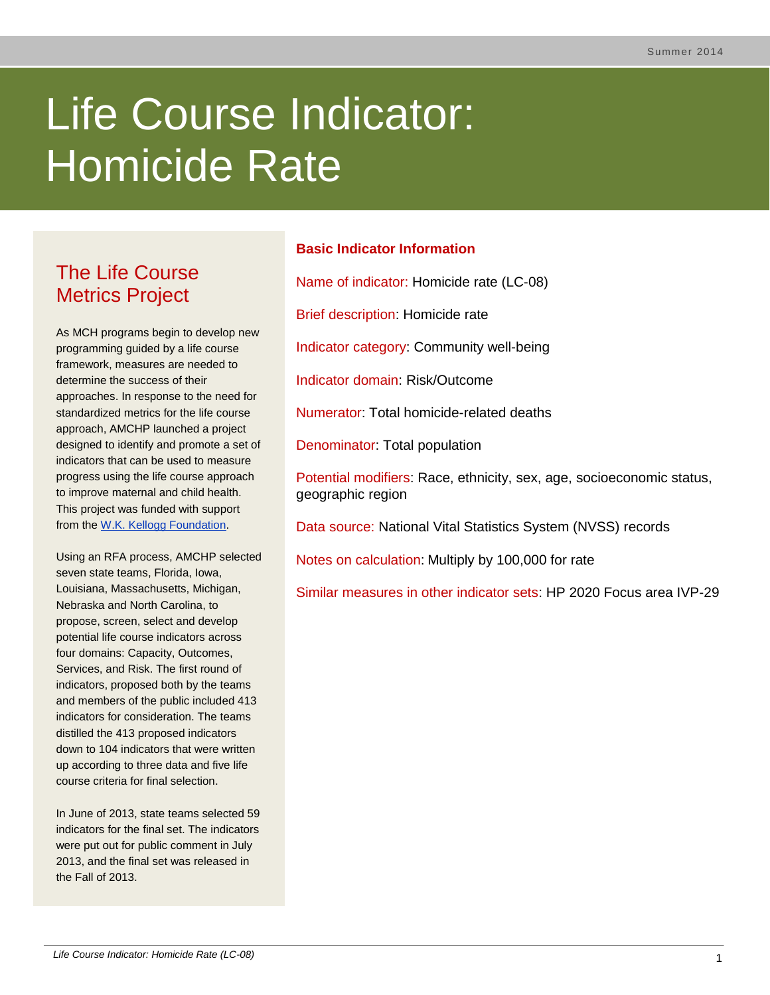# Life Course Indicator: Homicide Rate

# The Life Course Metrics Project

As MCH programs begin to develop new programming guided by a life course framework, measures are needed to determine the success of their approaches. In response to the need for standardized metrics for the life course approach, AMCHP launched a project designed to identify and promote a set of indicators that can be used to measure progress using the life course approach to improve maternal and child health. This project was funded with support from the [W.K. Kellogg Foundation.](http://www.wkkf.org/)

Using an RFA process, AMCHP selected seven state teams, Florida, Iowa, Louisiana, Massachusetts, Michigan, Nebraska and North Carolina, to propose, screen, select and develop potential life course indicators across four domains: Capacity, Outcomes, Services, and Risk. The first round of indicators, proposed both by the teams and members of the public included 413 indicators for consideration. The teams distilled the 413 proposed indicators down to 104 indicators that were written up according to three data and five life course criteria for final selection.

In June of 2013, state teams selected 59 indicators for the final set. The indicators were put out for public comment in July 2013, and the final set was released in the Fall of 2013.

# **Basic Indicator Information**

Name of indicator: Homicide rate (LC-08)

Brief description: Homicide rate

Indicator category: Community well-being

Indicator domain: Risk/Outcome

Numerator: Total homicide-related deaths

Denominator: Total population

Potential modifiers: Race, ethnicity, sex, age, socioeconomic status, geographic region

Data source: National Vital Statistics System (NVSS) records

Notes on calculation: Multiply by 100,000 for rate

Similar measures in other indicator sets: HP 2020 Focus area IVP-29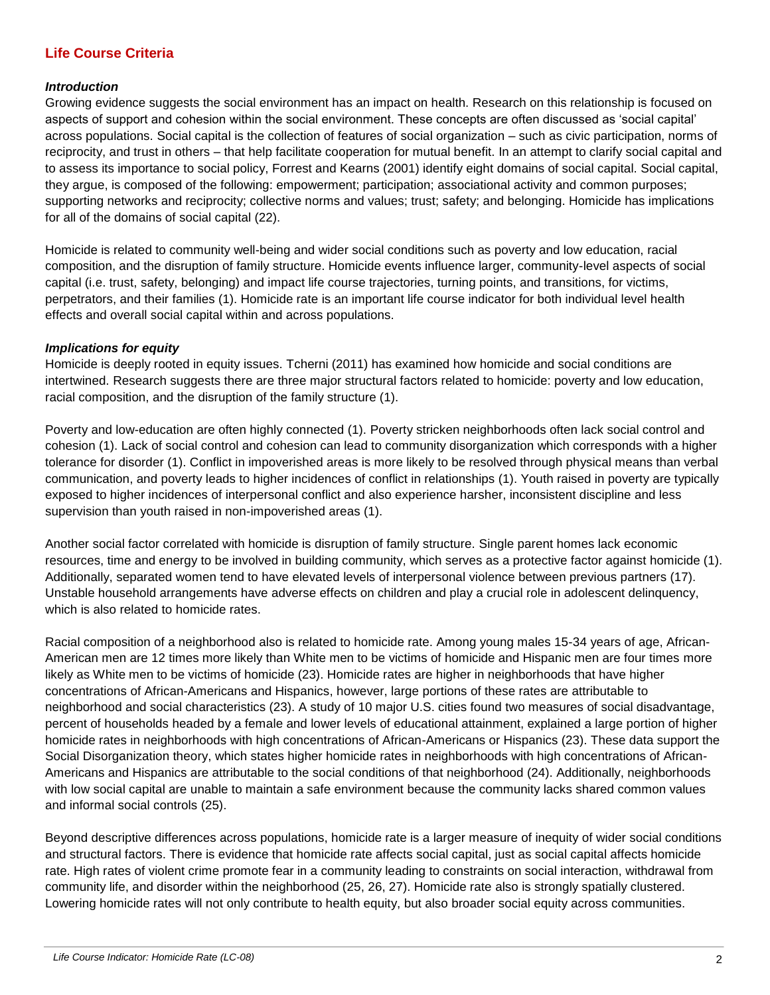# **Life Course Criteria**

#### *Introduction*

Growing evidence suggests the social environment has an impact on health. Research on this relationship is focused on aspects of support and cohesion within the social environment. These concepts are often discussed as 'social capital' across populations. Social capital is the collection of features of social organization – such as civic participation, norms of reciprocity, and trust in others – that help facilitate cooperation for mutual benefit. In an attempt to clarify social capital and to assess its importance to social policy, Forrest and Kearns (2001) identify eight domains of social capital. Social capital, they argue, is composed of the following: empowerment; participation; associational activity and common purposes; supporting networks and reciprocity; collective norms and values; trust; safety; and belonging. Homicide has implications for all of the domains of social capital (22).

Homicide is related to community well-being and wider social conditions such as poverty and low education, racial composition, and the disruption of family structure. Homicide events influence larger, community-level aspects of social capital (i.e. trust, safety, belonging) and impact life course trajectories, turning points, and transitions, for victims, perpetrators, and their families (1). Homicide rate is an important life course indicator for both individual level health effects and overall social capital within and across populations.

#### *Implications for equity*

Homicide is deeply rooted in equity issues. Tcherni (2011) has examined how homicide and social conditions are intertwined. Research suggests there are three major structural factors related to homicide: poverty and low education, racial composition, and the disruption of the family structure (1).

Poverty and low-education are often highly connected (1). Poverty stricken neighborhoods often lack social control and cohesion (1). Lack of social control and cohesion can lead to community disorganization which corresponds with a higher tolerance for disorder (1). Conflict in impoverished areas is more likely to be resolved through physical means than verbal communication, and poverty leads to higher incidences of conflict in relationships (1). Youth raised in poverty are typically exposed to higher incidences of interpersonal conflict and also experience harsher, inconsistent discipline and less supervision than youth raised in non-impoverished areas (1).

Another social factor correlated with homicide is disruption of family structure. Single parent homes lack economic resources, time and energy to be involved in building community, which serves as a protective factor against homicide (1). Additionally, separated women tend to have elevated levels of interpersonal violence between previous partners (17). Unstable household arrangements have adverse effects on children and play a crucial role in adolescent delinquency, which is also related to homicide rates.

Racial composition of a neighborhood also is related to homicide rate. Among young males 15-34 years of age, African-American men are 12 times more likely than White men to be victims of homicide and Hispanic men are four times more likely as White men to be victims of homicide (23). Homicide rates are higher in neighborhoods that have higher concentrations of African-Americans and Hispanics, however, large portions of these rates are attributable to neighborhood and social characteristics (23). A study of 10 major U.S. cities found two measures of social disadvantage, percent of households headed by a female and lower levels of educational attainment, explained a large portion of higher homicide rates in neighborhoods with high concentrations of African-Americans or Hispanics (23). These data support the Social Disorganization theory, which states higher homicide rates in neighborhoods with high concentrations of African-Americans and Hispanics are attributable to the social conditions of that neighborhood (24). Additionally, neighborhoods with low social capital are unable to maintain a safe environment because the community lacks shared common values and informal social controls (25).

Beyond descriptive differences across populations, homicide rate is a larger measure of inequity of wider social conditions and structural factors. There is evidence that homicide rate affects social capital, just as social capital affects homicide rate. High rates of violent crime promote fear in a community leading to constraints on social interaction, withdrawal from community life, and disorder within the neighborhood (25, 26, 27). Homicide rate also is strongly spatially clustered. Lowering homicide rates will not only contribute to health equity, but also broader social equity across communities.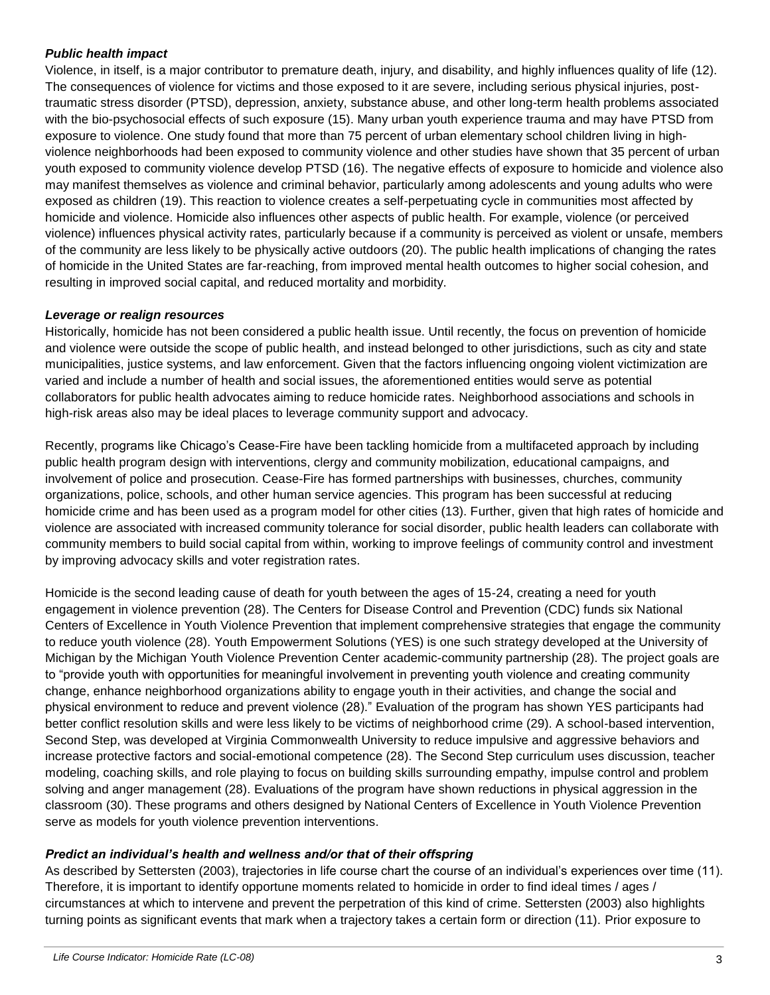#### *Public health impact*

Violence, in itself, is a major contributor to premature death, injury, and disability, and highly influences quality of life (12). The consequences of violence for victims and those exposed to it are severe, including serious physical injuries, posttraumatic stress disorder (PTSD), depression, anxiety, substance abuse, and other long-term health problems associated with the bio-psychosocial effects of such exposure (15). Many urban youth experience trauma and may have PTSD from exposure to violence. One study found that more than 75 percent of urban elementary school children living in highviolence neighborhoods had been exposed to community violence and other studies have shown that 35 percent of urban youth exposed to community violence develop PTSD (16). The negative effects of exposure to homicide and violence also may manifest themselves as violence and criminal behavior, particularly among adolescents and young adults who were exposed as children (19). This reaction to violence creates a self-perpetuating cycle in communities most affected by homicide and violence. Homicide also influences other aspects of public health. For example, violence (or perceived violence) influences physical activity rates, particularly because if a community is perceived as violent or unsafe, members of the community are less likely to be physically active outdoors (20). The public health implications of changing the rates of homicide in the United States are far-reaching, from improved mental health outcomes to higher social cohesion, and resulting in improved social capital, and reduced mortality and morbidity.

#### *Leverage or realign resources*

Historically, homicide has not been considered a public health issue. Until recently, the focus on prevention of homicide and violence were outside the scope of public health, and instead belonged to other jurisdictions, such as city and state municipalities, justice systems, and law enforcement. Given that the factors influencing ongoing violent victimization are varied and include a number of health and social issues, the aforementioned entities would serve as potential collaborators for public health advocates aiming to reduce homicide rates. Neighborhood associations and schools in high-risk areas also may be ideal places to leverage community support and advocacy.

Recently, programs like Chicago's Cease-Fire have been tackling homicide from a multifaceted approach by including public health program design with interventions, clergy and community mobilization, educational campaigns, and involvement of police and prosecution. Cease-Fire has formed partnerships with businesses, churches, community organizations, police, schools, and other human service agencies. This program has been successful at reducing homicide crime and has been used as a program model for other cities (13). Further, given that high rates of homicide and violence are associated with increased community tolerance for social disorder, public health leaders can collaborate with community members to build social capital from within, working to improve feelings of community control and investment by improving advocacy skills and voter registration rates.

Homicide is the second leading cause of death for youth between the ages of 15-24, creating a need for youth engagement in violence prevention (28). The Centers for Disease Control and Prevention (CDC) funds six National Centers of Excellence in Youth Violence Prevention that implement comprehensive strategies that engage the community to reduce youth violence (28). Youth Empowerment Solutions (YES) is one such strategy developed at the University of Michigan by the Michigan Youth Violence Prevention Center academic-community partnership (28). The project goals are to "provide youth with opportunities for meaningful involvement in preventing youth violence and creating community change, enhance neighborhood organizations ability to engage youth in their activities, and change the social and physical environment to reduce and prevent violence (28)." Evaluation of the program has shown YES participants had better conflict resolution skills and were less likely to be victims of neighborhood crime (29). A school-based intervention, Second Step, was developed at Virginia Commonwealth University to reduce impulsive and aggressive behaviors and increase protective factors and social-emotional competence (28). The Second Step curriculum uses discussion, teacher modeling, coaching skills, and role playing to focus on building skills surrounding empathy, impulse control and problem solving and anger management (28). Evaluations of the program have shown reductions in physical aggression in the classroom (30). These programs and others designed by National Centers of Excellence in Youth Violence Prevention serve as models for youth violence prevention interventions.

## *Predict an individual's health and wellness and/or that of their offspring*

As described by Settersten (2003), trajectories in life course chart the course of an individual's experiences over time (11). Therefore, it is important to identify opportune moments related to homicide in order to find ideal times / ages / circumstances at which to intervene and prevent the perpetration of this kind of crime. Settersten (2003) also highlights turning points as significant events that mark when a trajectory takes a certain form or direction (11). Prior exposure to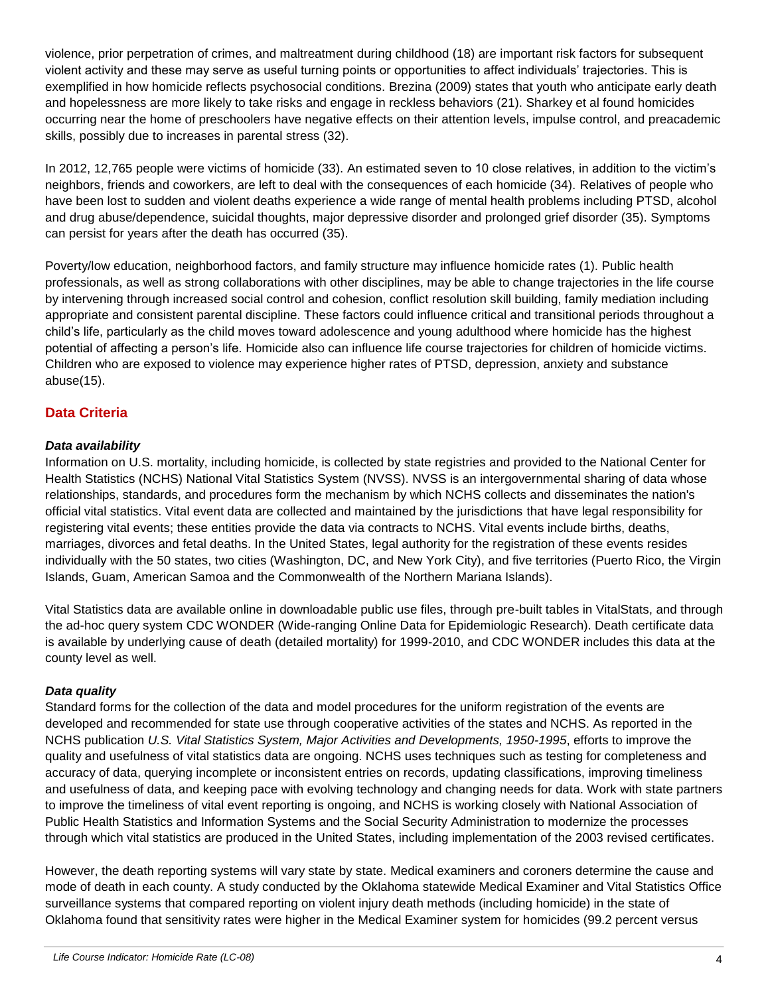violence, prior perpetration of crimes, and maltreatment during childhood (18) are important risk factors for subsequent violent activity and these may serve as useful turning points or opportunities to affect individuals' trajectories. This is exemplified in how homicide reflects psychosocial conditions. Brezina (2009) states that youth who anticipate early death and hopelessness are more likely to take risks and engage in reckless behaviors (21). Sharkey et al found homicides occurring near the home of preschoolers have negative effects on their attention levels, impulse control, and preacademic skills, possibly due to increases in parental stress (32).

In 2012, 12,765 people were victims of homicide (33). An estimated seven to 10 close relatives, in addition to the victim's neighbors, friends and coworkers, are left to deal with the consequences of each homicide (34). Relatives of people who have been lost to sudden and violent deaths experience a wide range of mental health problems including PTSD, alcohol and drug abuse/dependence, suicidal thoughts, major depressive disorder and prolonged grief disorder (35). Symptoms can persist for years after the death has occurred (35).

Poverty/low education, neighborhood factors, and family structure may influence homicide rates (1). Public health professionals, as well as strong collaborations with other disciplines, may be able to change trajectories in the life course by intervening through increased social control and cohesion, conflict resolution skill building, family mediation including appropriate and consistent parental discipline. These factors could influence critical and transitional periods throughout a child's life, particularly as the child moves toward adolescence and young adulthood where homicide has the highest potential of affecting a person's life. Homicide also can influence life course trajectories for children of homicide victims. Children who are exposed to violence may experience higher rates of PTSD, depression, anxiety and substance abuse(15).

# **Data Criteria**

## *Data availability*

Information on U.S. mortality, including homicide, is collected by state registries and provided to the National Center for Health Statistics (NCHS) National Vital Statistics System (NVSS). NVSS is an intergovernmental sharing of data whose relationships, standards, and procedures form the mechanism by which NCHS collects and disseminates the nation's official vital statistics. Vital event data are collected and maintained by the jurisdictions that have legal responsibility for registering vital events; these entities provide the data via contracts to NCHS. Vital events include births, deaths, marriages, divorces and fetal deaths. In the United States, legal authority for the registration of these events resides individually with the 50 states, two cities (Washington, DC, and New York City), and five territories (Puerto Rico, the Virgin Islands, Guam, American Samoa and the Commonwealth of the Northern Mariana Islands).

Vital Statistics data are available online in downloadable public use files, through pre-built tables in VitalStats, and through the ad-hoc query system CDC WONDER (Wide-ranging Online Data for Epidemiologic Research). Death certificate data is available by underlying cause of death (detailed mortality) for 1999-2010, and CDC WONDER includes this data at the county level as well.

#### *Data quality*

Standard forms for the collection of the data and model procedures for the uniform registration of the events are developed and recommended for state use through cooperative activities of the states and NCHS. As reported in the NCHS publication *U.S. Vital Statistics System, Major Activities and Developments, 1950-1995*, efforts to improve the quality and usefulness of vital statistics data are ongoing. NCHS uses techniques such as testing for completeness and accuracy of data, querying incomplete or inconsistent entries on records, updating classifications, improving timeliness and usefulness of data, and keeping pace with evolving technology and changing needs for data. Work with state partners to improve the timeliness of vital event reporting is ongoing, and NCHS is working closely with National Association of Public Health Statistics and Information Systems and the Social Security Administration to modernize the processes through which vital statistics are produced in the United States, including implementation of the 2003 revised certificates.

However, the death reporting systems will vary state by state. Medical examiners and coroners determine the cause and mode of death in each county. A study conducted by the Oklahoma statewide Medical Examiner and Vital Statistics Office surveillance systems that compared reporting on violent injury death methods (including homicide) in the state of Oklahoma found that sensitivity rates were higher in the Medical Examiner system for homicides (99.2 percent versus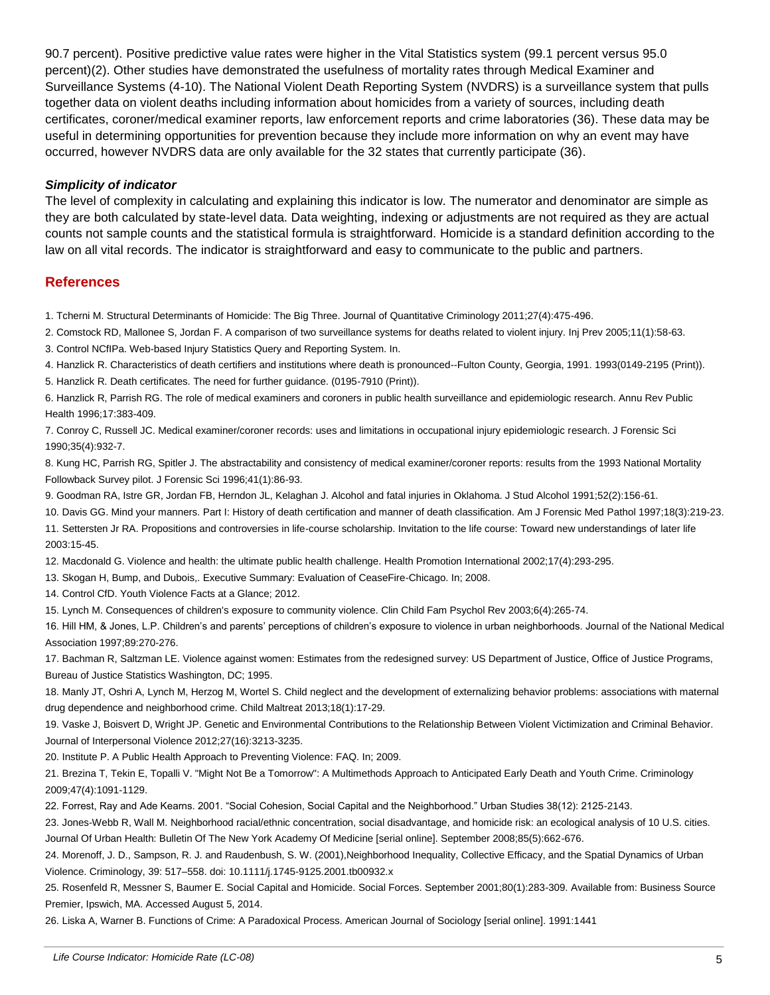90.7 percent). Positive predictive value rates were higher in the Vital Statistics system (99.1 percent versus 95.0 percent)(2). Other studies have demonstrated the usefulness of mortality rates through Medical Examiner and Surveillance Systems (4-10). The National Violent Death Reporting System (NVDRS) is a surveillance system that pulls together data on violent deaths including information about homicides from a variety of sources, including death certificates, coroner/medical examiner reports, law enforcement reports and crime laboratories (36). These data may be useful in determining opportunities for prevention because they include more information on why an event may have occurred, however NVDRS data are only available for the 32 states that currently participate (36).

#### *Simplicity of indicator*

The level of complexity in calculating and explaining this indicator is low. The numerator and denominator are simple as they are both calculated by state-level data. Data weighting, indexing or adjustments are not required as they are actual counts not sample counts and the statistical formula is straightforward. Homicide is a standard definition according to the law on all vital records. The indicator is straightforward and easy to communicate to the public and partners.

#### **References**

1. Tcherni M. Structural Determinants of Homicide: The Big Three. Journal of Quantitative Criminology 2011;27(4):475-496.

2. Comstock RD, Mallonee S, Jordan F. A comparison of two surveillance systems for deaths related to violent injury. Inj Prev 2005;11(1):58-63.

3. Control NCfIPa. Web-based Injury Statistics Query and Reporting System. In.

4. Hanzlick R. Characteristics of death certifiers and institutions where death is pronounced--Fulton County, Georgia, 1991. 1993(0149-2195 (Print)). 5. Hanzlick R. Death certificates. The need for further guidance. (0195-7910 (Print)).

6. Hanzlick R, Parrish RG. The role of medical examiners and coroners in public health surveillance and epidemiologic research. Annu Rev Public Health 1996;17:383-409.

7. Conroy C, Russell JC. Medical examiner/coroner records: uses and limitations in occupational injury epidemiologic research. J Forensic Sci 1990;35(4):932-7.

8. Kung HC, Parrish RG, Spitler J. The abstractability and consistency of medical examiner/coroner reports: results from the 1993 National Mortality Followback Survey pilot. J Forensic Sci 1996;41(1):86-93.

9. Goodman RA, Istre GR, Jordan FB, Herndon JL, Kelaghan J. Alcohol and fatal injuries in Oklahoma. J Stud Alcohol 1991;52(2):156-61.

10. Davis GG. Mind your manners. Part I: History of death certification and manner of death classification. Am J Forensic Med Pathol 1997;18(3):219-23.

11. Settersten Jr RA. Propositions and controversies in life-course scholarship. Invitation to the life course: Toward new understandings of later life 2003:15-45.

12. Macdonald G. Violence and health: the ultimate public health challenge. Health Promotion International 2002;17(4):293-295.

13. Skogan H, Bump, and Dubois,. Executive Summary: Evaluation of CeaseFire-Chicago. In; 2008.

14. Control CfD. Youth Violence Facts at a Glance; 2012.

15. Lynch M. Consequences of children's exposure to community violence. Clin Child Fam Psychol Rev 2003;6(4):265-74.

16. Hill HM, & Jones, L.P. Children's and parents' perceptions of children's exposure to violence in urban neighborhoods. Journal of the National Medical Association 1997;89:270-276.

17. Bachman R, Saltzman LE. Violence against women: Estimates from the redesigned survey: US Department of Justice, Office of Justice Programs, Bureau of Justice Statistics Washington, DC; 1995.

18. Manly JT, Oshri A, Lynch M, Herzog M, Wortel S. Child neglect and the development of externalizing behavior problems: associations with maternal drug dependence and neighborhood crime. Child Maltreat 2013;18(1):17-29.

19. Vaske J, Boisvert D, Wright JP. Genetic and Environmental Contributions to the Relationship Between Violent Victimization and Criminal Behavior. Journal of Interpersonal Violence 2012;27(16):3213-3235.

20. Institute P. A Public Health Approach to Preventing Violence: FAQ. In; 2009.

21. Brezina T, Tekin E, Topalli V. "Might Not Be a Tomorrow": A Multimethods Approach to Anticipated Early Death and Youth Crime. Criminology 2009;47(4):1091-1129.

22. Forrest, Ray and Ade Kearns. 2001. "Social Cohesion, Social Capital and the Neighborhood." Urban Studies 38(12): 2125-2143.

23. Jones-Webb R, Wall M. Neighborhood racial/ethnic concentration, social disadvantage, and homicide risk: an ecological analysis of 10 U.S. cities. Journal Of Urban Health: Bulletin Of The New York Academy Of Medicine [serial online]. September 2008;85(5):662-676.

24. Morenoff, J. D., Sampson, R. J. and Raudenbush, S. W. (2001),Neighborhood Inequality, Collective Efficacy, and the Spatial Dynamics of Urban Violence. Criminology, 39: 517–558. doi: 10.1111/j.1745-9125.2001.tb00932.x

25. Rosenfeld R, Messner S, Baumer E. Social Capital and Homicide. Social Forces. September 2001;80(1):283-309. Available from: Business Source Premier, Ipswich, MA. Accessed August 5, 2014.

26. Liska A, Warner B. Functions of Crime: A Paradoxical Process. American Journal of Sociology [serial online]. 1991:1441